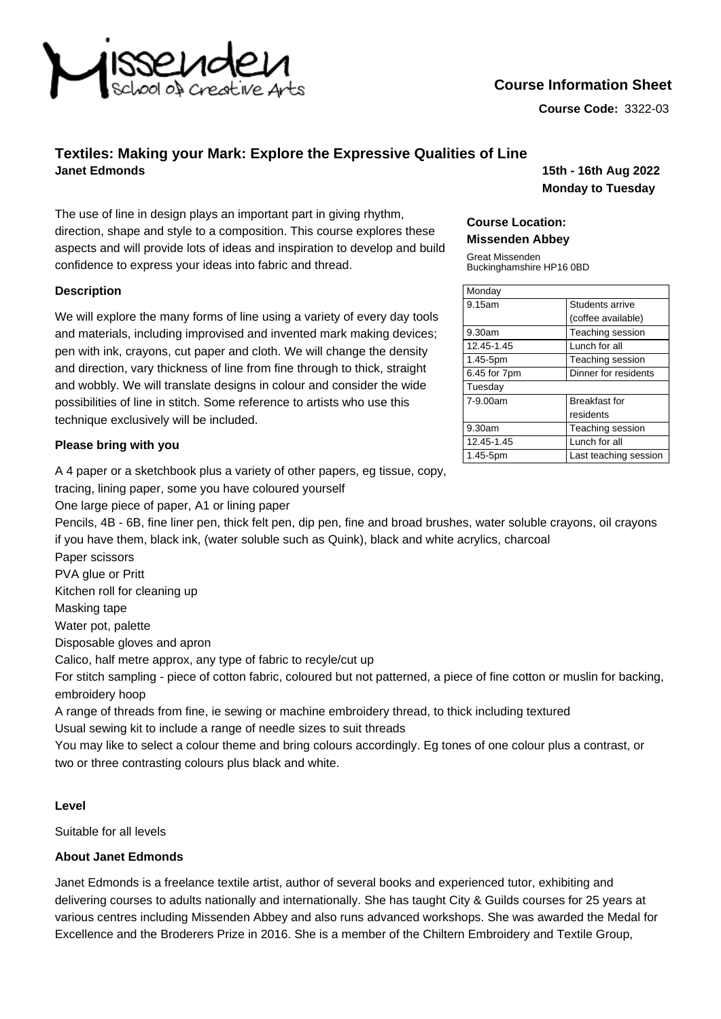

# **Course Information Sheet**

**Course Code:** 3322-03

## **Textiles: Making your Mark: Explore the Expressive Qualities of Line Janet Edmonds 15th - 16th Aug 2022**

The use of line in design plays an important part in giving rhythm. direction, shape and style to a composition. This course explores these aspects and will provide lots of ideas and inspiration to develop and build confidence to express your ideas into fabric and thread.

#### **Description**

We will explore the many forms of line using a variety of every day tools and materials, including improvised and invented mark making devices; pen with ink, crayons, cut paper and cloth. We will change the density and direction, vary thickness of line from fine through to thick, straight and wobbly. We will translate designs in colour and consider the wide possibilities of line in stitch. Some reference to artists who use this technique exclusively will be included.

#### **Please bring with you**

A 4 paper or a sketchbook plus a variety of other papers, eg tissue, copy,

tracing, lining paper, some you have coloured yourself

One large piece of paper, A1 or lining paper

Pencils, 4B - 6B, fine liner pen, thick felt pen, dip pen, fine and broad brushes, water soluble crayons, oil crayons if you have them, black ink, (water soluble such as Quink), black and white acrylics, charcoal

Paper scissors

PVA glue or Pritt

Kitchen roll for cleaning up

Masking tape

Water pot, palette

Disposable gloves and apron

Calico, half metre approx, any type of fabric to recyle/cut up

For stitch sampling - piece of cotton fabric, coloured but not patterned, a piece of fine cotton or muslin for backing, embroidery hoop

A range of threads from fine, ie sewing or machine embroidery thread, to thick including textured Usual sewing kit to include a range of needle sizes to suit threads

You may like to select a colour theme and bring colours accordingly. Eg tones of one colour plus a contrast, or two or three contrasting colours plus black and white.

### **Level**

Suitable for all levels

#### **About Janet Edmonds**

Janet Edmonds is a freelance textile artist, author of several books and experienced tutor, exhibiting and delivering courses to adults nationally and internationally. She has taught City & Guilds courses for 25 years at various centres including Missenden Abbey and also runs advanced workshops. She was awarded the Medal for Excellence and the Broderers Prize in 2016. She is a member of the Chiltern Embroidery and Textile Group,

**Monday to Tuesday**

#### **Course Location: Missenden Abbey**

Great Missenden Buckinghamshire HP16 0BD

| Monday       |                        |
|--------------|------------------------|
| 9.15am       | <b>Students arrive</b> |
|              | (coffee available)     |
| 9.30am       | Teaching session       |
| 12.45-1.45   | Lunch for all          |
| 1.45-5pm     | Teaching session       |
| 6.45 for 7pm | Dinner for residents   |
| Tuesday      |                        |
| 7-9.00am     | <b>Breakfast for</b>   |
|              | residents              |
| 9.30am       | Teaching session       |
| 12.45-1.45   | Lunch for all          |
| 1.45-5pm     | Last teaching session  |